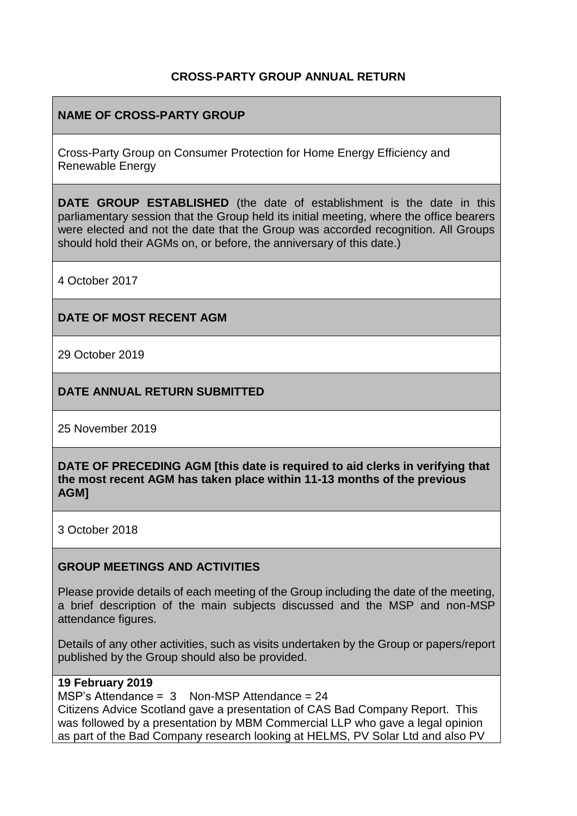## **CROSS-PARTY GROUP ANNUAL RETURN**

## **NAME OF CROSS-PARTY GROUP**

Cross-Party Group on Consumer Protection for Home Energy Efficiency and Renewable Energy

**DATE GROUP ESTABLISHED** (the date of establishment is the date in this parliamentary session that the Group held its initial meeting, where the office bearers were elected and not the date that the Group was accorded recognition. All Groups should hold their AGMs on, or before, the anniversary of this date.)

4 October 2017

#### **DATE OF MOST RECENT AGM**

29 October 2019

#### **DATE ANNUAL RETURN SUBMITTED**

25 November 2019

**DATE OF PRECEDING AGM [this date is required to aid clerks in verifying that the most recent AGM has taken place within 11-13 months of the previous AGM]**

3 October 2018

#### **GROUP MEETINGS AND ACTIVITIES**

Please provide details of each meeting of the Group including the date of the meeting, a brief description of the main subjects discussed and the MSP and non-MSP attendance figures.

Details of any other activities, such as visits undertaken by the Group or papers/report published by the Group should also be provided.

#### **19 February 2019**

MSP's Attendance =  $3$  Non-MSP Attendance = 24 Citizens Advice Scotland gave a presentation of CAS Bad Company Report. This was followed by a presentation by MBM Commercial LLP who gave a legal opinion as part of the Bad Company research looking at HELMS, PV Solar Ltd and also PV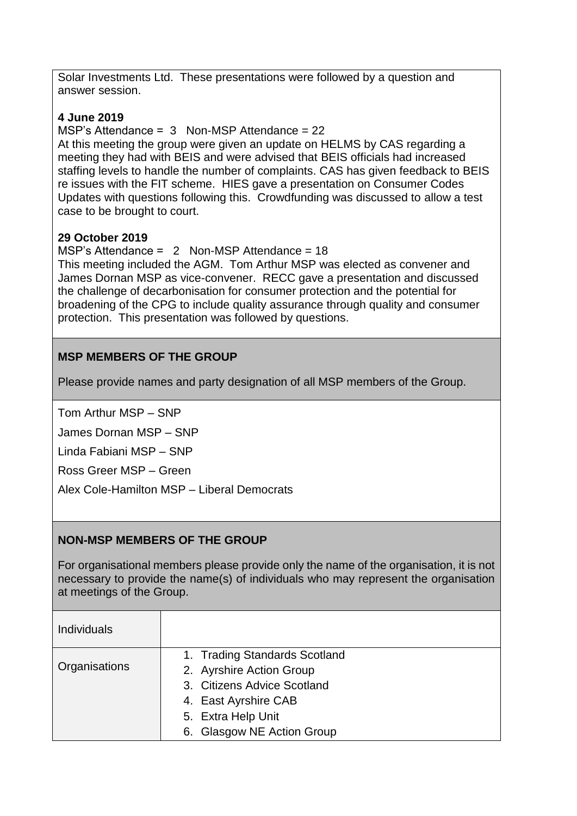Solar Investments Ltd. These presentations were followed by a question and answer session.

# **4 June 2019**

MSP's Attendance =  $3$  Non-MSP Attendance = 22

At this meeting the group were given an update on HELMS by CAS regarding a meeting they had with BEIS and were advised that BEIS officials had increased staffing levels to handle the number of complaints. CAS has given feedback to BEIS re issues with the FIT scheme. HIES gave a presentation on Consumer Codes Updates with questions following this. Crowdfunding was discussed to allow a test case to be brought to court.

## **29 October 2019**

MSP's Attendance = 2 Non-MSP Attendance = 18 This meeting included the AGM. Tom Arthur MSP was elected as convener and James Dornan MSP as vice-convener. RECC gave a presentation and discussed the challenge of decarbonisation for consumer protection and the potential for broadening of the CPG to include quality assurance through quality and consumer protection. This presentation was followed by questions.

# **MSP MEMBERS OF THE GROUP**

Please provide names and party designation of all MSP members of the Group.

Tom Arthur MSP – SNP

James Dornan MSP – SNP

Linda Fabiani MSP – SNP

Ross Greer MSP – Green

Alex Cole-Hamilton MSP – Liberal Democrats

# **NON-MSP MEMBERS OF THE GROUP**

For organisational members please provide only the name of the organisation, it is not necessary to provide the name(s) of individuals who may represent the organisation at meetings of the Group.

| <b>Individuals</b> |                               |
|--------------------|-------------------------------|
| Organisations      | 1. Trading Standards Scotland |
|                    | 2. Ayrshire Action Group      |
|                    | 3. Citizens Advice Scotland   |
|                    | 4. East Ayrshire CAB          |
|                    | 5. Extra Help Unit            |
|                    | 6. Glasgow NE Action Group    |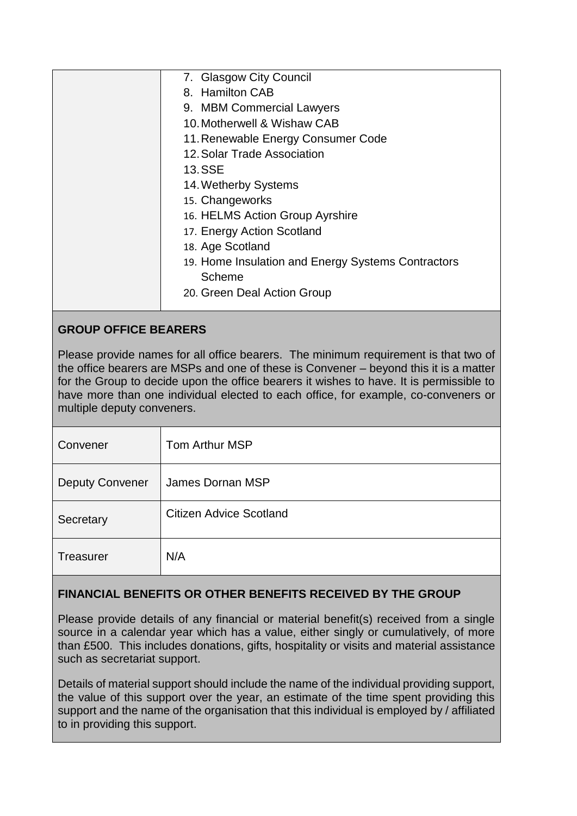| 7. Glasgow City Council                            |
|----------------------------------------------------|
| 8. Hamilton CAB                                    |
| 9. MBM Commercial Lawyers                          |
| 10. Motherwell & Wishaw CAB                        |
| 11. Renewable Energy Consumer Code                 |
| 12. Solar Trade Association                        |
| <b>13.SSE</b>                                      |
| 14. Wetherby Systems                               |
| 15. Changeworks                                    |
| 16. HELMS Action Group Ayrshire                    |
| 17. Energy Action Scotland                         |
| 18. Age Scotland                                   |
| 19. Home Insulation and Energy Systems Contractors |
| Scheme                                             |
| 20. Green Deal Action Group                        |
|                                                    |

# **GROUP OFFICE BEARERS**

Please provide names for all office bearers. The minimum requirement is that two of the office bearers are MSPs and one of these is Convener – beyond this it is a matter for the Group to decide upon the office bearers it wishes to have. It is permissible to have more than one individual elected to each office, for example, co-conveners or multiple deputy conveners.

| Convener               | Tom Arthur MSP                 |
|------------------------|--------------------------------|
| <b>Deputy Convener</b> | James Dornan MSP               |
| Secretary              | <b>Citizen Advice Scotland</b> |
| <b>Treasurer</b>       | N/A                            |

# **FINANCIAL BENEFITS OR OTHER BENEFITS RECEIVED BY THE GROUP**

Please provide details of any financial or material benefit(s) received from a single source in a calendar year which has a value, either singly or cumulatively, of more than £500. This includes donations, gifts, hospitality or visits and material assistance such as secretariat support.

Details of material support should include the name of the individual providing support, the value of this support over the year, an estimate of the time spent providing this support and the name of the organisation that this individual is employed by / affiliated to in providing this support.